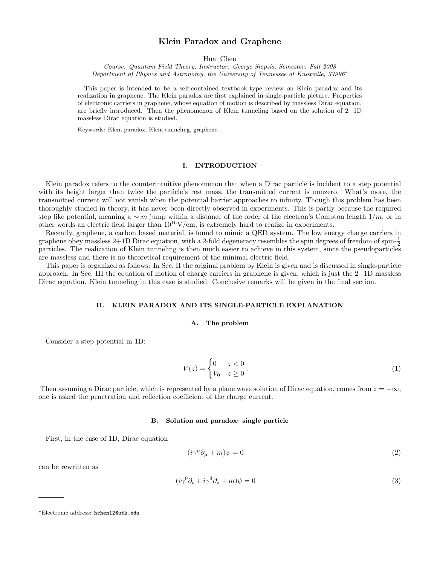# Klein Paradox and Graphene

Hua Chen

Course: Quantum Field Theory, Instructor: George Siopsis, Semester: Fall 2008 Department of Physics and Astronomy, the University of Tennessee at Knoxville, 37996<sup>∗</sup>

This paper is intended to be a self-contained textbook-type review on Klein paradox and its realization in graphene. The Klein paradox are first explained in single-particle picture. Properties of electronic carriers in graphene, whose equation of motion is described by massless Dirac equation, are briefly introduced. Then the phenomenon of Klein tunneling based on the solution of 2+1D massless Dirac equation is studied.

Keywords: Klein paradox, Klein tunneling, graphene

## I. INTRODUCTION

Klein paradox refers to the counterintuitive phenomenon that when a Dirac particle is incident to a step potential with its height larger than twice the particle's rest mass, the transmitted current is nonzero. What's more, the transmitted current will not vanish when the potential barrier approaches to infinity. Though this problem has been thoroughly studied in theory, it has never been directly observed in experiments. This is partly because the required step like potential, meaning a ∼ m jump within a distance of the order of the electron's Compton length  $1/m$ , or in other words an electric field larger than  $10^{16}$ V/cm, is extremely hard to realize in experiments.

Recently, graphene, a carbon based material, is found to mimic a QED system. The low energy charge carriers in graphene obey massless  $2+1D$  Dirac equation, with a 2-fold degeneracy resembles the spin degrees of freedom of spin- $\frac{1}{2}$ particles. The realization of Klein tunneling is then much easier to achieve in this system, since the pseudoparticles are massless and there is no theoretical requirement of the minimal electric field.

This paper is organized as follows: In Sec. II the original problem by Klein is given and is discussed in single-particle approach. In Sec. III the equation of motion of charge carriers in graphene is given, which is just the 2+1D massless Dirac equation. Klein tunneling in this case is studied. Conclusive remarks will be given in the final section.

## II. KLEIN PARADOX AND ITS SINGLE-PARTICLE EXPLANATION

### A. The problem

Consider a step potential in 1D:

$$
V(z) = \begin{cases} 0 & z < 0 \\ V_0 & z \ge 0 \end{cases} \tag{1}
$$

Then assuming a Dirac particle, which is represented by a plane wave solution of Dirac equation, comes from  $z = -\infty$ , one is asked the penetration and reflection coefficient of the charge current.

#### B. Solution and paradox: single particle

First, in the case of 1D, Dirac equation

$$
(i\gamma^{\mu}\partial_{\mu} + m)\psi = 0\tag{2}
$$

can be rewritten as

$$
(i\gamma^0 \partial_t + i\gamma^3 \partial_z + m)\psi = 0\tag{3}
$$

<sup>∗</sup>Electronic address: hchen12@utk.edu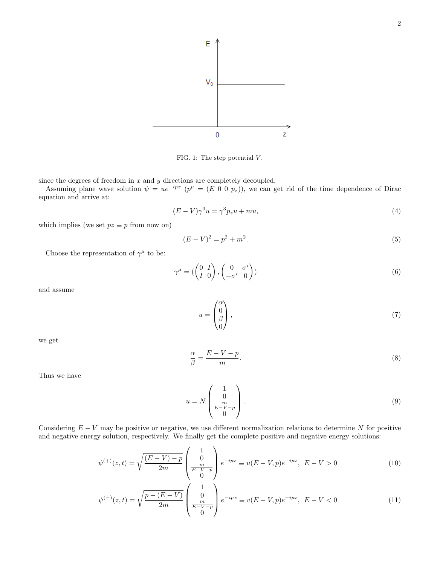

FIG. 1: The step potential  $V$ .

since the degrees of freedom in  $x$  and  $y$  directions are completely decoupled.

Assuming plane wave solution  $\psi = ue^{-ipx}$   $(p^{\mu} = (E \ 0 \ 0 \ p_z))$ , we can get rid of the time dependence of Dirac equation and arrive at:

$$
(E - V)\gamma^0 u = \gamma^3 p_z u + m u,\tag{4}
$$

which implies (we set  $pz \equiv p$  from now on)

$$
(E - V)^2 = p^2 + m^2.
$$
\n(5)

Choose the representation of  $\gamma^{\mu}$  to be:

$$
\gamma^{\mu} = \begin{pmatrix} 0 & I \\ I & 0 \end{pmatrix}, \begin{pmatrix} 0 & \sigma^{i} \\ -\sigma^{i} & 0 \end{pmatrix})
$$
 (6)

and assume

$$
u = \begin{pmatrix} \alpha \\ 0 \\ \beta \\ 0 \end{pmatrix}, \tag{7}
$$

we get

$$
\frac{\alpha}{\beta} = \frac{E - V - p}{m}.\tag{8}
$$

Thus we have

$$
u = N \begin{pmatrix} 1 \\ 0 \\ \frac{m}{E - V - p} \\ 0 \end{pmatrix} . \tag{9}
$$

Considering  $E - V$  may be positive or negative, we use different normalization relations to determine N for positive and negative energy solution, respectively. We finally get the complete positive and negative energy solutions:

$$
\psi^{(+)}(z,t) = \sqrt{\frac{(E-V) - p}{2m}} \begin{pmatrix} 1 \\ 0 \\ \frac{m}{E-V-p} \\ 0 \end{pmatrix} e^{-ipx} \equiv u(E-V,p)e^{-ipx}, \ E-V > 0 \tag{10}
$$

$$
\psi^{(-)}(z,t) = \sqrt{\frac{p - (E - V)}{2m}} \begin{pmatrix} 1 \\ 0 \\ \frac{m}{E - V - p} \\ 0 \end{pmatrix} e^{-ipx} \equiv v(E - V, p)e^{-ipx}, \ E - V < 0 \tag{11}
$$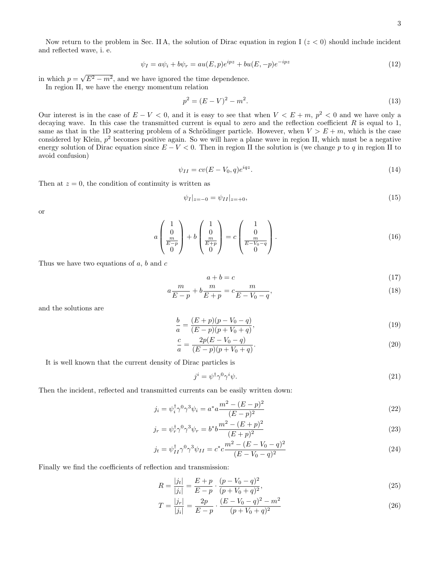Now return to the problem in Sec. II A, the solution of Dirac equation in region I ( $z < 0$ ) should include incident and reflected wave, i. e.

$$
\psi_I = a\psi_i + b\psi_r = au(E, p)e^{ipz} + bu(E, -p)e^{-ipz}
$$
\n
$$
(12)
$$

in which  $p =$  $\sqrt{E^2 - m^2}$ , and we have ignored the time dependence. In region II, we have the energy momentum relation

$$
p^2 = (E - V)^2 - m^2. \tag{13}
$$

Our interest is in the case of  $E - V < 0$ , and it is easy to see that when  $V < E + m$ ,  $p^2 < 0$  and we have only a decaying wave. In this case the transmitted current is equal to zero and the reflection coefficient  $R$  is equal to 1, same as that in the 1D scattering problem of a Schrödinger particle. However, when  $V > E + m$ , which is the case considered by Klein,  $p^2$  becomes positive again. So we will have a plane wave in region II, which must be a negative energy solution of Dirac equation since  $E - V < 0$ . Then in region II the solution is (we change p to q in region II to avoid confusion)

$$
\psi_{II} = cv(E - V_0, q)e^{iqz}.\tag{14}
$$

Then at  $z = 0$ , the condition of continuity is written as

$$
\psi_I|_{z=-0} = \psi_{II}|_{z=+0},\tag{15}
$$

or

$$
a\begin{pmatrix}1\\0\\ \frac{m}{E-p}\\0\end{pmatrix} + b\begin{pmatrix}1\\0\\ \frac{m}{E+p}\\0\end{pmatrix} = c\begin{pmatrix}1\\0\\ \frac{m}{E-V_0-q}\\0\end{pmatrix}.
$$
 (16)

Thus we have two equations of  $a, b$  and  $c$ 

$$
a + b = c \tag{17}
$$

$$
a\frac{m}{E-p} + b\frac{m}{E+p} = c\frac{m}{E-V_0-q},
$$
\n(18)

and the solutions are

$$
\frac{b}{a} = \frac{(E+p)(p-V_0-q)}{(E-p)(p+V_0+q)},\tag{19}
$$

$$
\frac{c}{a} = \frac{2p(E - V_0 - q)}{(E - p)(p + V_0 + q)}.\tag{20}
$$

It is well known that the current density of Dirac particles is

$$
j^i = \psi^\dagger \gamma^0 \gamma^i \psi. \tag{21}
$$

Then the incident, reflected and transmitted currents can be easily written down:

$$
j_i = \psi_i^{\dagger} \gamma^0 \gamma^3 \psi_i = a^* a \frac{m^2 - (E - p)^2}{(E - p)^2}
$$
\n(22)

$$
j_r = \psi_r^{\dagger} \gamma^0 \gamma^3 \psi_r = b^* b \frac{m^2 - (E + p)^2}{(E + p)^2}
$$
 (23)

$$
j_t = \psi_{II}^{\dagger} \gamma^0 \gamma^3 \psi_{II} = c^* c \frac{m^2 - (E - V_0 - q)^2}{(E - V_0 - q)^2}
$$
\n(24)

Finally we find the coefficients of reflection and transmission:

$$
R = \frac{|j_t|}{|j_i|} = \frac{E+p}{E-p} \cdot \frac{(p-V_0-q)^2}{(p+V_0+q)^2},\tag{25}
$$

$$
T = \frac{|j_r|}{|j_i|} = \frac{2p}{E - p} \cdot \frac{(E - V_0 - q)^2 - m^2}{(p + V_0 + q)^2}
$$
\n(26)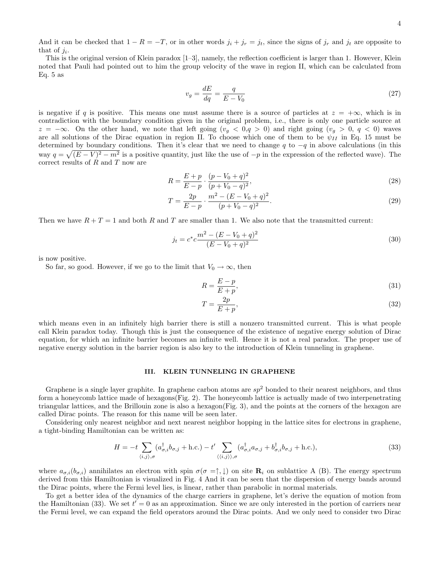And it can be checked that  $1 - R = -T$ , or in other words  $j_i + j_r = j_t$ , since the signs of  $j_r$  and  $j_t$  are opposite to that of  $j_i$ .

This is the original version of Klein paradox [1–3], namely, the reflection coefficient is larger than 1. However, Klein noted that Pauli had pointed out to him the group velocity of the wave in region II, which can be calculated from Eq. 5 as

$$
v_g = \frac{dE}{dq} = \frac{q}{E - V_0} \tag{27}
$$

is negative if q is positive. This means one must assume there is a source of particles at  $z = +\infty$ , which is in contradiction with the boundary condition given in the original problem, i.e., there is only one particle source at  $z = -\infty$ . On the other hand, we note that left going  $(v_q < 0, q > 0)$  and right going  $(v_q > 0, q < 0)$  waves are all solutions of the Dirac equation in region II. To choose which one of them to be  $\psi_{II}$  in Eq. 15 must be determined by boundary conditions. Then it's clear that we need to change q to  $-q$  in above calculations (in this way  $q = \sqrt{(E-V)^2 - m^2}$  is a positive quantity, just like the use of  $-p$  in the expression of the reflected wave). The correct results of R and T now are

$$
R = \frac{E + p}{E - p} \cdot \frac{(p - V_0 + q)^2}{(p + V_0 - q)^2},\tag{28}
$$

$$
T = \frac{2p}{E - p} \cdot \frac{m^2 - (E - V_0 + q)^2}{(p + V_0 - q)^2}.
$$
\n(29)

Then we have  $R + T = 1$  and both R and T are smaller than 1. We also note that the transmitted current:

$$
j_t = c^* c \frac{m^2 - (E - V_0 + q)^2}{(E - V_0 + q)^2}
$$
\n(30)

is now positive.

So far, so good. However, if we go to the limit that  $V_0 \to \infty$ , then

$$
R = \frac{E - p}{E + p},\tag{31}
$$

$$
T = \frac{2p}{E + p},\tag{32}
$$

which means even in an infinitely high barrier there is still a nonzero transmitted current. This is what people call Klein paradox today. Though this is just the consequence of the existence of negative energy solution of Dirac equation, for which an infinite barrier becomes an infinite well. Hence it is not a real paradox. The proper use of negative energy solution in the barrier region is also key to the introduction of Klein tunneling in graphene.

### III. KLEIN TUNNELING IN GRAPHENE

Graphene is a single layer graphite. In graphene carbon atoms are  $sp^2$  bonded to their nearest neighbors, and thus form a honeycomb lattice made of hexagons(Fig. 2). The honeycomb lattice is actually made of two interpenetrating triangular lattices, and the Brillouin zone is also a hexagon(Fig. 3), and the points at the corners of the hexagon are called Dirac points. The reason for this name will be seen later.

Considering only nearest neighbor and next nearest neighbor hopping in the lattice sites for electrons in graphene, a tight-binding Hamiltonian can be written as:

$$
H = -t \sum_{\langle i,j \rangle,\sigma} (a^{\dagger}_{\sigma,i} b_{\sigma,j} + \text{h.c.}) - t' \sum_{\langle \langle i,j \rangle \rangle,\sigma} (a^{\dagger}_{\sigma,i} a_{\sigma,j} + b^{\dagger}_{\sigma,i} b_{\sigma,j} + \text{h.c.}), \tag{33}
$$

where  $a_{\sigma,i}(b_{\sigma,i})$  annihilates an electron with spin  $\sigma(\sigma = \uparrow, \downarrow)$  on site  $\mathbf{R}_i$  on sublattice A (B). The energy spectrum derived from this Hamiltonian is visualized in Fig. 4 And it can be seen that the dispersion of energy bands around the Dirac points, where the Fermi level lies, is linear, rather than parabolic in normal materials.

To get a better idea of the dynamics of the charge carriers in graphene, let's derive the equation of motion from the Hamiltonian (33). We set  $t' = 0$  as an approximation. Since we are only interested in the portion of carriers near the Fermi level, we can expand the field operators around the Dirac points. And we only need to consider two Dirac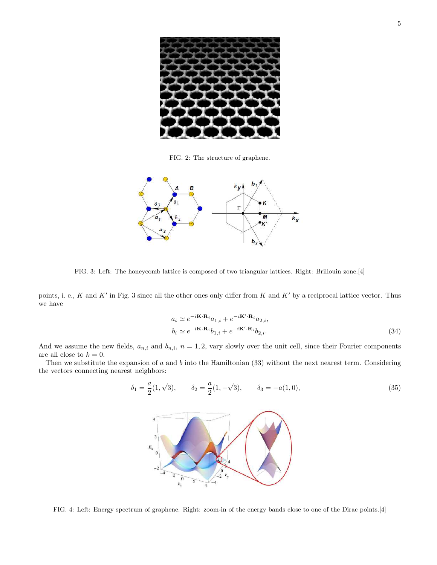

FIG. 2: The structure of graphene.



FIG. 3: Left: The honeycomb lattice is composed of two triangular lattices. Right: Brillouin zone.[4]

points, i. e., K and K' in Fig. 3 since all the other ones only differ from K and K' by a reciprocal lattice vector. Thus we have

$$
a_i \simeq e^{-i\mathbf{K} \cdot \mathbf{R}_i} a_{1,i} + e^{-i\mathbf{K}' \cdot \mathbf{R}_i} a_{2,i},
$$
  
\n
$$
b_i \simeq e^{-i\mathbf{K} \cdot \mathbf{R}_i} b_{1,i} + e^{-i\mathbf{K}' \cdot \mathbf{R}_i} b_{2,i}.
$$
\n(34)

And we assume the new fields,  $a_{n,i}$  and  $b_{n,i}$ ,  $n = 1, 2$ , vary slowly over the unit cell, since their Fourier components are all close to  $k = 0$ .

Then we substitute the expansion of  $a$  and  $b$  into the Hamiltonian (33) without the next nearest term. Considering the vectors connecting nearest neighbors:

$$
\delta_1 = \frac{a}{2}(1, \sqrt{3}), \qquad \delta_2 = \frac{a}{2}(1, -\sqrt{3}), \qquad \delta_3 = -a(1, 0), \tag{35}
$$



FIG. 4: Left: Energy spectrum of graphene. Right: zoom-in of the energy bands close to one of the Dirac points.[4]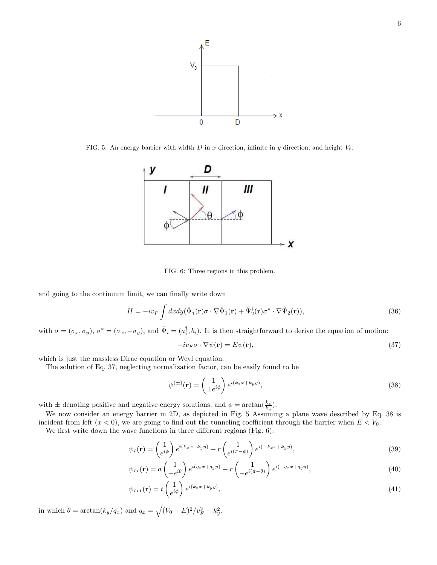

FIG. 5: An energy barrier with width D in x direction, infinite in y direction, and height  $V_0$ .



FIG. 6: Three regions in this problem.

and going to the continuum limit, we can finally write down

$$
H = -iv_F \int dx dy (\hat{\Psi}_1^{\dagger}(\mathbf{r}) \sigma \cdot \nabla \hat{\Psi}_1(\mathbf{r}) + \hat{\Psi}_2^{\dagger}(\mathbf{r}) \sigma^* \cdot \nabla \hat{\Psi}_2(\mathbf{r})), \tag{36}
$$

with  $\sigma = (\sigma_x, \sigma_y)$ ,  $\sigma^* = (\sigma_x, -\sigma_y)$ , and  $\hat{\Psi}_i = (a_i^{\dagger}, b_i)$ . It is then straightforward to derive the equation of motion:

$$
-iv_F\sigma \cdot \nabla \psi(\mathbf{r}) = E\psi(\mathbf{r}),\tag{37}
$$

which is just the massless Dirac equation or Weyl equation.

The solution of Eq. 37, neglecting normalization factor, can be easily found to be

$$
\psi^{(\pm)}(\mathbf{r}) = \begin{pmatrix} 1 \\ \pm e^{i\phi} \end{pmatrix} e^{i(k_x x + k_y y)},\tag{38}
$$

with  $\pm$  denoting positive and negative energy solutions, and  $\phi = \arctan(\frac{k_x}{k_y})$ .

We now consider an energy barrier in 2D, as depicted in Fig. 5 Assuming a plane wave described by Eq. 38 is incident from left  $(x < 0)$ , we are going to find out the tunneling coefficient through the barrier when  $E < V_0$ .

We first write down the wave functions in three different regions (Fig. 6):

$$
\psi_I(\mathbf{r}) = \begin{pmatrix} 1 \\ e^{i\phi} \end{pmatrix} e^{i(k_x x + k_y y)} + r \begin{pmatrix} 1 \\ e^{i(\pi - \phi)} \end{pmatrix} e^{i(-k_x x + k_y y)}, \tag{39}
$$

$$
\psi_{II}(\mathbf{r}) = a \begin{pmatrix} 1 \\ -e^{i\theta} \end{pmatrix} e^{i(q_x x + q_y y)} + r \begin{pmatrix} 1 \\ -e^{i(\pi - \theta)} \end{pmatrix} e^{i(-q_x x + q_y y)}, \tag{40}
$$

$$
\psi_{III}(\mathbf{r}) = t \begin{pmatrix} 1 \\ e^{i\phi} \end{pmatrix} e^{i(k_x x + k_y y)},\tag{41}
$$

in which  $\theta = \arctan(k_y/q_x)$  and  $q_x =$  $\mathcal{L}$  $(V_0 - E)^2/v_F^2 - k_y^2$ .